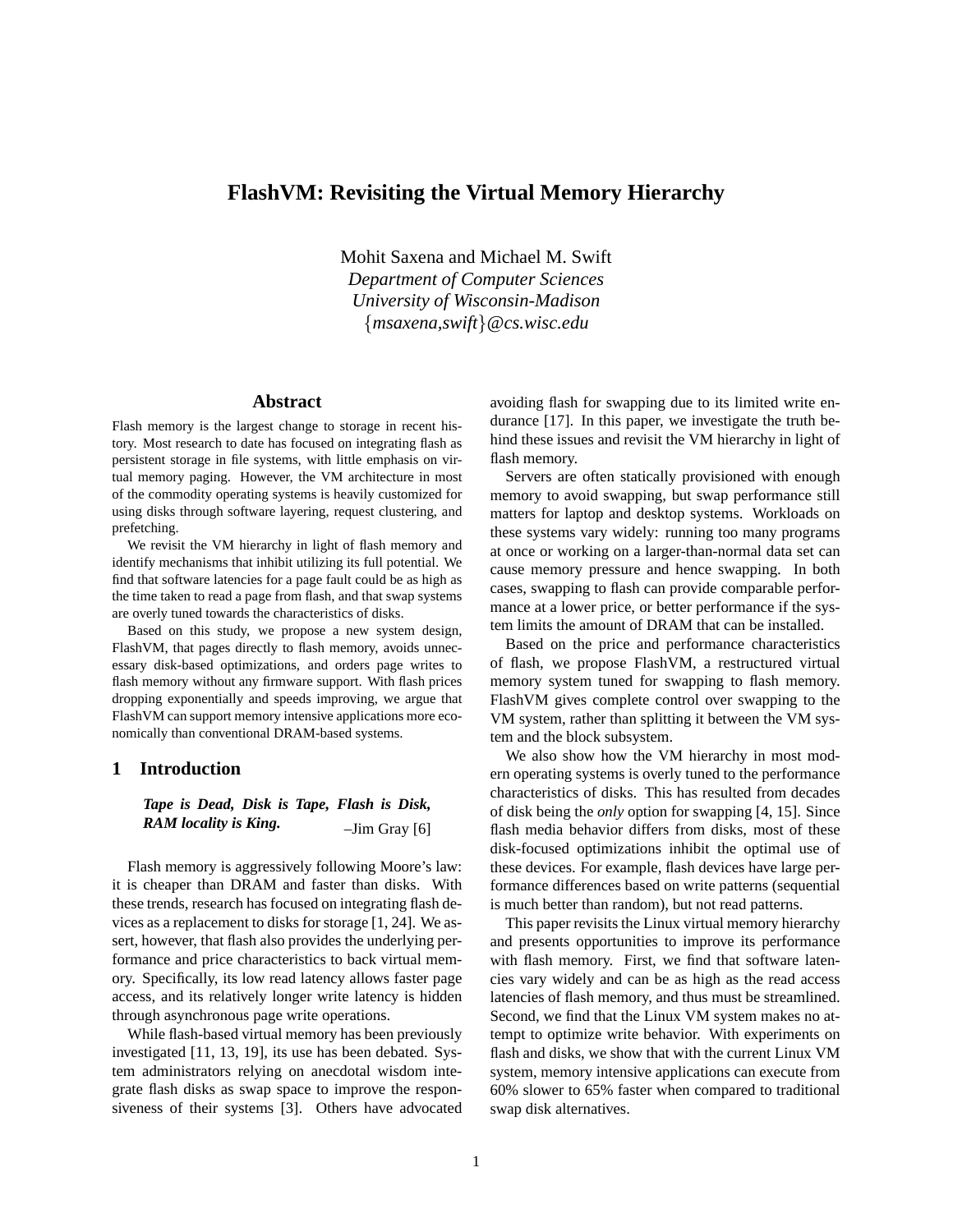# **FlashVM: Revisiting the Virtual Memory Hierarchy**

Mohit Saxena and Michael M. Swift *Department of Computer Sciences University of Wisconsin-Madison* {*msaxena,swift*}*@cs.wisc.edu*

### **Abstract**

Flash memory is the largest change to storage in recent history. Most research to date has focused on integrating flash as persistent storage in file systems, with little emphasis on virtual memory paging. However, the VM architecture in most of the commodity operating systems is heavily customized for using disks through software layering, request clustering, and prefetching.

We revisit the VM hierarchy in light of flash memory and identify mechanisms that inhibit utilizing its full potential. We find that software latencies for a page fault could be as high as the time taken to read a page from flash, and that swap systems are overly tuned towards the characteristics of disks.

Based on this study, we propose a new system design, FlashVM, that pages directly to flash memory, avoids unnecessary disk-based optimizations, and orders page writes to flash memory without any firmware support. With flash prices dropping exponentially and speeds improving, we argue that FlashVM can support memory intensive applications more economically than conventional DRAM-based systems.

# **1 Introduction**

*Tape is Dead, Disk is Tape, Flash is Disk, RAM locality is King.* –  $\frac{1}{\text{dim}}$  Gray [6]

Flash memory is aggressively following Moore's law: it is cheaper than DRAM and faster than disks. With these trends, research has focused on integrating flash devices as a replacement to disks for storage [1, 24]. We assert, however, that flash also provides the underlying performance and price characteristics to back virtual memory. Specifically, its low read latency allows faster page access, and its relatively longer write latency is hidden through asynchronous page write operations.

While flash-based virtual memory has been previously investigated [11, 13, 19], its use has been debated. System administrators relying on anecdotal wisdom integrate flash disks as swap space to improve the responsiveness of their systems [3]. Others have advocated avoiding flash for swapping due to its limited write endurance [17]. In this paper, we investigate the truth behind these issues and revisit the VM hierarchy in light of flash memory.

Servers are often statically provisioned with enough memory to avoid swapping, but swap performance still matters for laptop and desktop systems. Workloads on these systems vary widely: running too many programs at once or working on a larger-than-normal data set can cause memory pressure and hence swapping. In both cases, swapping to flash can provide comparable performance at a lower price, or better performance if the system limits the amount of DRAM that can be installed.

Based on the price and performance characteristics of flash, we propose FlashVM, a restructured virtual memory system tuned for swapping to flash memory. FlashVM gives complete control over swapping to the VM system, rather than splitting it between the VM system and the block subsystem.

We also show how the VM hierarchy in most modern operating systems is overly tuned to the performance characteristics of disks. This has resulted from decades of disk being the *only* option for swapping [4, 15]. Since flash media behavior differs from disks, most of these disk-focused optimizations inhibit the optimal use of these devices. For example, flash devices have large performance differences based on write patterns (sequential is much better than random), but not read patterns.

This paper revisits the Linux virtual memory hierarchy and presents opportunities to improve its performance with flash memory. First, we find that software latencies vary widely and can be as high as the read access latencies of flash memory, and thus must be streamlined. Second, we find that the Linux VM system makes no attempt to optimize write behavior. With experiments on flash and disks, we show that with the current Linux VM system, memory intensive applications can execute from 60% slower to 65% faster when compared to traditional swap disk alternatives.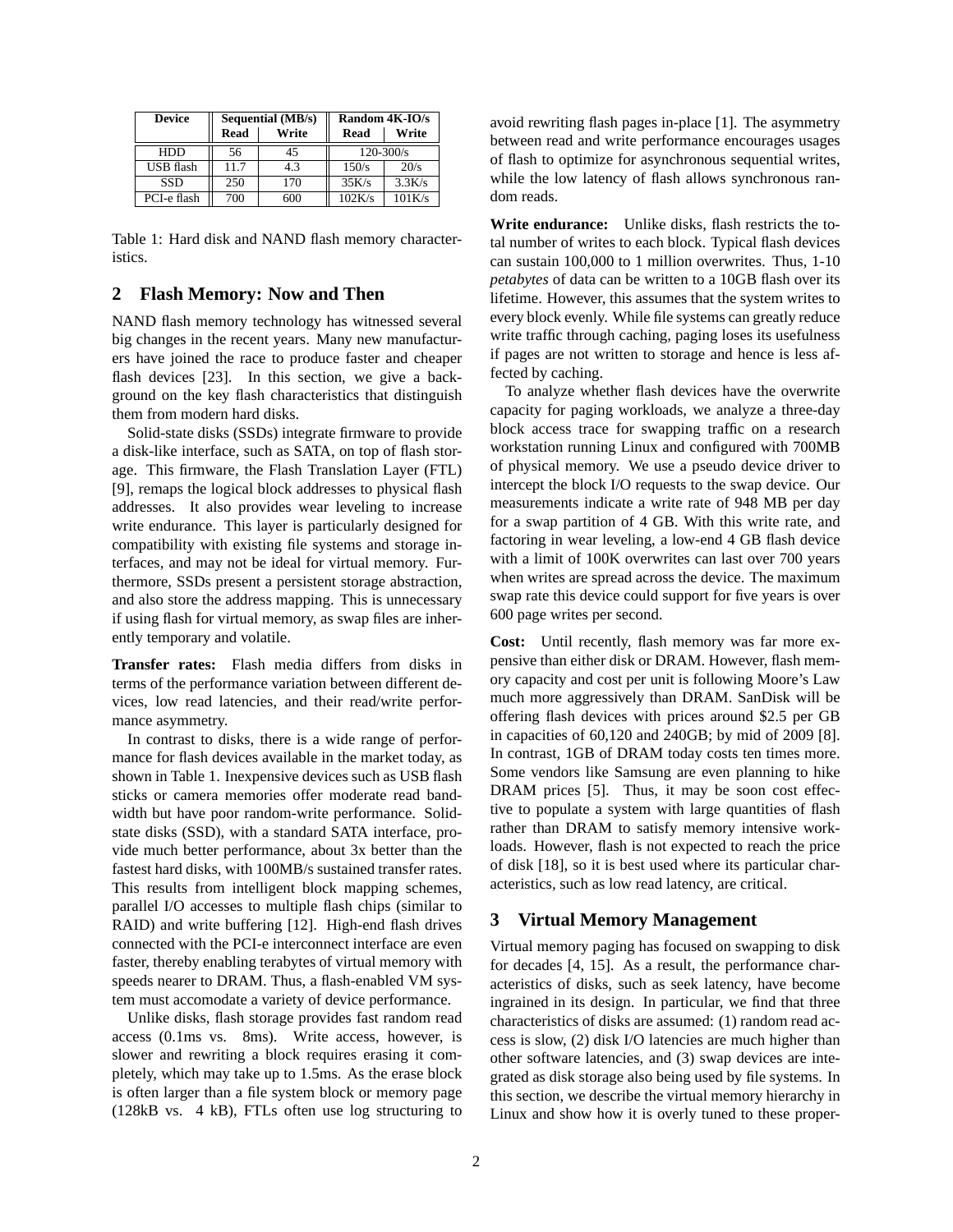| <b>Device</b>    |             | <b>Sequential (MB/s)</b> | Random 4K-IO/s |        |  |
|------------------|-------------|--------------------------|----------------|--------|--|
|                  | <b>Read</b> | Write                    | Read           | Write  |  |
| <b>HDD</b>       | 56          | 45                       | $120 - 300/s$  |        |  |
| <b>USB</b> flash | 11.7        | 4.3                      | 150/s          | 20/s   |  |
| <b>SSD</b>       | 250         | 170                      | 35K/s          | 3.3K/s |  |
| PCI-e flash      | 700         | $500 -$                  | 102K/s         | 101K/s |  |

Table 1: Hard disk and NAND flash memory characteristics.

# **2 Flash Memory: Now and Then**

NAND flash memory technology has witnessed several big changes in the recent years. Many new manufacturers have joined the race to produce faster and cheaper flash devices [23]. In this section, we give a background on the key flash characteristics that distinguish them from modern hard disks.

Solid-state disks (SSDs) integrate firmware to provide a disk-like interface, such as SATA, on top of flash storage. This firmware, the Flash Translation Layer (FTL) [9], remaps the logical block addresses to physical flash addresses. It also provides wear leveling to increase write endurance. This layer is particularly designed for compatibility with existing file systems and storage interfaces, and may not be ideal for virtual memory. Furthermore, SSDs present a persistent storage abstraction, and also store the address mapping. This is unnecessary if using flash for virtual memory, as swap files are inherently temporary and volatile.

**Transfer rates:** Flash media differs from disks in terms of the performance variation between different devices, low read latencies, and their read/write performance asymmetry.

In contrast to disks, there is a wide range of performance for flash devices available in the market today, as shown in Table 1. Inexpensive devices such as USB flash sticks or camera memories offer moderate read bandwidth but have poor random-write performance. Solidstate disks (SSD), with a standard SATA interface, provide much better performance, about 3x better than the fastest hard disks, with 100MB/s sustained transfer rates. This results from intelligent block mapping schemes, parallel I/O accesses to multiple flash chips (similar to RAID) and write buffering [12]. High-end flash drives connected with the PCI-e interconnect interface are even faster, thereby enabling terabytes of virtual memory with speeds nearer to DRAM. Thus, a flash-enabled VM system must accomodate a variety of device performance.

Unlike disks, flash storage provides fast random read access (0.1ms vs. 8ms). Write access, however, is slower and rewriting a block requires erasing it completely, which may take up to 1.5ms. As the erase block is often larger than a file system block or memory page (128kB vs. 4 kB), FTLs often use log structuring to avoid rewriting flash pages in-place [1]. The asymmetry between read and write performance encourages usages of flash to optimize for asynchronous sequential writes, while the low latency of flash allows synchronous random reads.

**Write endurance:** Unlike disks, flash restricts the total number of writes to each block. Typical flash devices can sustain 100,000 to 1 million overwrites. Thus, 1-10 *petabytes* of data can be written to a 10GB flash over its lifetime. However, this assumes that the system writes to every block evenly. While file systems can greatly reduce write traffic through caching, paging loses its usefulness if pages are not written to storage and hence is less affected by caching.

To analyze whether flash devices have the overwrite capacity for paging workloads, we analyze a three-day block access trace for swapping traffic on a research workstation running Linux and configured with 700MB of physical memory. We use a pseudo device driver to intercept the block I/O requests to the swap device. Our measurements indicate a write rate of 948 MB per day for a swap partition of 4 GB. With this write rate, and factoring in wear leveling, a low-end 4 GB flash device with a limit of 100K overwrites can last over 700 years when writes are spread across the device. The maximum swap rate this device could support for five years is over 600 page writes per second.

**Cost:** Until recently, flash memory was far more expensive than either disk or DRAM. However, flash memory capacity and cost per unit is following Moore's Law much more aggressively than DRAM. SanDisk will be offering flash devices with prices around \$2.5 per GB in capacities of 60,120 and 240GB; by mid of 2009 [8]. In contrast, 1GB of DRAM today costs ten times more. Some vendors like Samsung are even planning to hike DRAM prices [5]. Thus, it may be soon cost effective to populate a system with large quantities of flash rather than DRAM to satisfy memory intensive workloads. However, flash is not expected to reach the price of disk [18], so it is best used where its particular characteristics, such as low read latency, are critical.

#### **3 Virtual Memory Management**

Virtual memory paging has focused on swapping to disk for decades [4, 15]. As a result, the performance characteristics of disks, such as seek latency, have become ingrained in its design. In particular, we find that three characteristics of disks are assumed: (1) random read access is slow, (2) disk I/O latencies are much higher than other software latencies, and (3) swap devices are integrated as disk storage also being used by file systems. In this section, we describe the virtual memory hierarchy in Linux and show how it is overly tuned to these proper-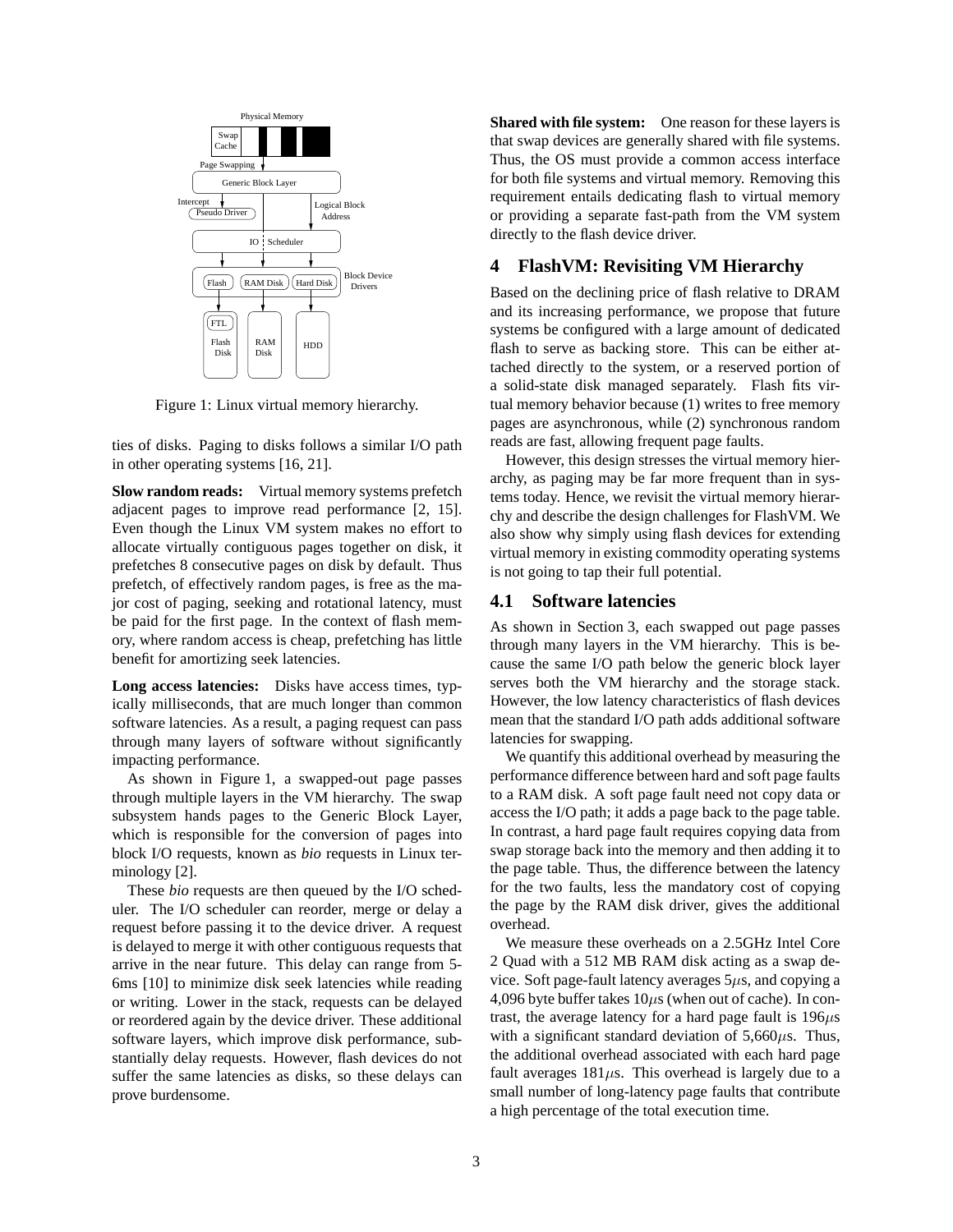

Figure 1: Linux virtual memory hierarchy.

ties of disks. Paging to disks follows a similar I/O path in other operating systems [16, 21].

**Slow random reads:** Virtual memory systems prefetch adjacent pages to improve read performance [2, 15]. Even though the Linux VM system makes no effort to allocate virtually contiguous pages together on disk, it prefetches 8 consecutive pages on disk by default. Thus prefetch, of effectively random pages, is free as the major cost of paging, seeking and rotational latency, must be paid for the first page. In the context of flash memory, where random access is cheap, prefetching has little benefit for amortizing seek latencies.

**Long access latencies:** Disks have access times, typically milliseconds, that are much longer than common software latencies. As a result, a paging request can pass through many layers of software without significantly impacting performance.

As shown in Figure 1, a swapped-out page passes through multiple layers in the VM hierarchy. The swap subsystem hands pages to the Generic Block Layer, which is responsible for the conversion of pages into block I/O requests, known as *bio* requests in Linux terminology [2].

These *bio* requests are then queued by the I/O scheduler. The I/O scheduler can reorder, merge or delay a request before passing it to the device driver. A request is delayed to merge it with other contiguous requests that arrive in the near future. This delay can range from 5- 6ms [10] to minimize disk seek latencies while reading or writing. Lower in the stack, requests can be delayed or reordered again by the device driver. These additional software layers, which improve disk performance, substantially delay requests. However, flash devices do not suffer the same latencies as disks, so these delays can prove burdensome.

**Shared with file system:** One reason for these layers is that swap devices are generally shared with file systems. Thus, the OS must provide a common access interface for both file systems and virtual memory. Removing this requirement entails dedicating flash to virtual memory or providing a separate fast-path from the VM system directly to the flash device driver.

# **4 FlashVM: Revisiting VM Hierarchy**

Based on the declining price of flash relative to DRAM and its increasing performance, we propose that future systems be configured with a large amount of dedicated flash to serve as backing store. This can be either attached directly to the system, or a reserved portion of a solid-state disk managed separately. Flash fits virtual memory behavior because (1) writes to free memory pages are asynchronous, while (2) synchronous random reads are fast, allowing frequent page faults.

However, this design stresses the virtual memory hierarchy, as paging may be far more frequent than in systems today. Hence, we revisit the virtual memory hierarchy and describe the design challenges for FlashVM. We also show why simply using flash devices for extending virtual memory in existing commodity operating systems is not going to tap their full potential.

#### **4.1 Software latencies**

As shown in Section 3, each swapped out page passes through many layers in the VM hierarchy. This is because the same I/O path below the generic block layer serves both the VM hierarchy and the storage stack. However, the low latency characteristics of flash devices mean that the standard I/O path adds additional software latencies for swapping.

We quantify this additional overhead by measuring the performance difference between hard and soft page faults to a RAM disk. A soft page fault need not copy data or access the I/O path; it adds a page back to the page table. In contrast, a hard page fault requires copying data from swap storage back into the memory and then adding it to the page table. Thus, the difference between the latency for the two faults, less the mandatory cost of copying the page by the RAM disk driver, gives the additional overhead.

We measure these overheads on a 2.5GHz Intel Core 2 Quad with a 512 MB RAM disk acting as a swap device. Soft page-fault latency averages  $5\mu s$ , and copying a 4,096 byte buffer takes  $10\mu s$  (when out of cache). In contrast, the average latency for a hard page fault is  $196\mu s$ with a significant standard deviation of  $5,660\mu$ s. Thus, the additional overhead associated with each hard page fault averages  $181\mu s$ . This overhead is largely due to a small number of long-latency page faults that contribute a high percentage of the total execution time.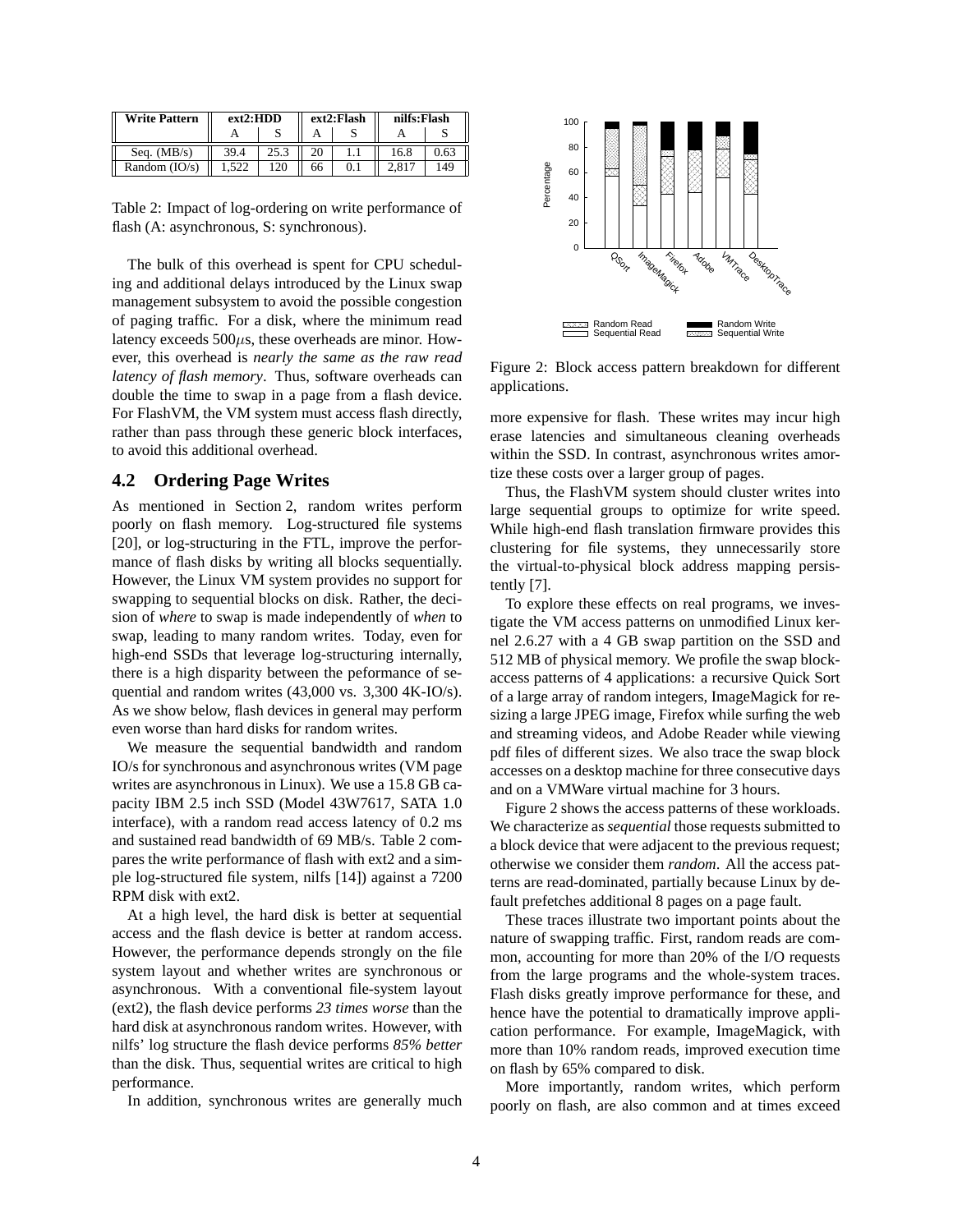| <b>Write Pattern</b> | ext2:HDD |      | ext2:Flash |  | nilfs:Flash |     |
|----------------------|----------|------|------------|--|-------------|-----|
|                      |          |      |            |  |             |     |
| Seq. $(MB/s)$        | 39.4     | 25.3 |            |  | 16.8        |     |
| Random $(IO/s)$      | 522      | 120  | 66         |  | 2.817       | 149 |

Table 2: Impact of log-ordering on write performance of flash (A: asynchronous, S: synchronous).

The bulk of this overhead is spent for CPU scheduling and additional delays introduced by the Linux swap management subsystem to avoid the possible congestion of paging traffic. For a disk, where the minimum read latency exceeds  $500\mu s$ , these overheads are minor. However, this overhead is *nearly the same as the raw read latency of flash memory*. Thus, software overheads can double the time to swap in a page from a flash device. For FlashVM, the VM system must access flash directly, rather than pass through these generic block interfaces, to avoid this additional overhead.

### **4.2 Ordering Page Writes**

As mentioned in Section 2, random writes perform poorly on flash memory. Log-structured file systems [20], or log-structuring in the FTL, improve the performance of flash disks by writing all blocks sequentially. However, the Linux VM system provides no support for swapping to sequential blocks on disk. Rather, the decision of *where* to swap is made independently of *when* to swap, leading to many random writes. Today, even for high-end SSDs that leverage log-structuring internally, there is a high disparity between the peformance of sequential and random writes (43,000 vs. 3,300 4K-IO/s). As we show below, flash devices in general may perform even worse than hard disks for random writes.

We measure the sequential bandwidth and random IO/s for synchronous and asynchronous writes (VM page writes are asynchronous in Linux). We use a 15.8 GB capacity IBM 2.5 inch SSD (Model 43W7617, SATA 1.0 interface), with a random read access latency of 0.2 ms and sustained read bandwidth of 69 MB/s. Table 2 compares the write performance of flash with ext2 and a simple log-structured file system, nilfs [14]) against a 7200 RPM disk with ext2.

At a high level, the hard disk is better at sequential access and the flash device is better at random access. However, the performance depends strongly on the file system layout and whether writes are synchronous or asynchronous. With a conventional file-system layout (ext2), the flash device performs *23 times worse* than the hard disk at asynchronous random writes. However, with nilfs' log structure the flash device performs *85% better* than the disk. Thus, sequential writes are critical to high performance.

In addition, synchronous writes are generally much



Figure 2: Block access pattern breakdown for different applications.

more expensive for flash. These writes may incur high erase latencies and simultaneous cleaning overheads within the SSD. In contrast, asynchronous writes amortize these costs over a larger group of pages.

Thus, the FlashVM system should cluster writes into large sequential groups to optimize for write speed. While high-end flash translation firmware provides this clustering for file systems, they unnecessarily store the virtual-to-physical block address mapping persistently [7].

To explore these effects on real programs, we investigate the VM access patterns on unmodified Linux kernel 2.6.27 with a 4 GB swap partition on the SSD and 512 MB of physical memory. We profile the swap blockaccess patterns of 4 applications: a recursive Quick Sort of a large array of random integers, ImageMagick for resizing a large JPEG image, Firefox while surfing the web and streaming videos, and Adobe Reader while viewing pdf files of different sizes. We also trace the swap block accesses on a desktop machine for three consecutive days and on a VMWare virtual machine for 3 hours.

Figure 2 shows the access patterns of these workloads. We characterize as *sequential* those requests submitted to a block device that were adjacent to the previous request; otherwise we consider them *random*. All the access patterns are read-dominated, partially because Linux by default prefetches additional 8 pages on a page fault.

These traces illustrate two important points about the nature of swapping traffic. First, random reads are common, accounting for more than 20% of the I/O requests from the large programs and the whole-system traces. Flash disks greatly improve performance for these, and hence have the potential to dramatically improve application performance. For example, ImageMagick, with more than 10% random reads, improved execution time on flash by 65% compared to disk.

More importantly, random writes, which perform poorly on flash, are also common and at times exceed